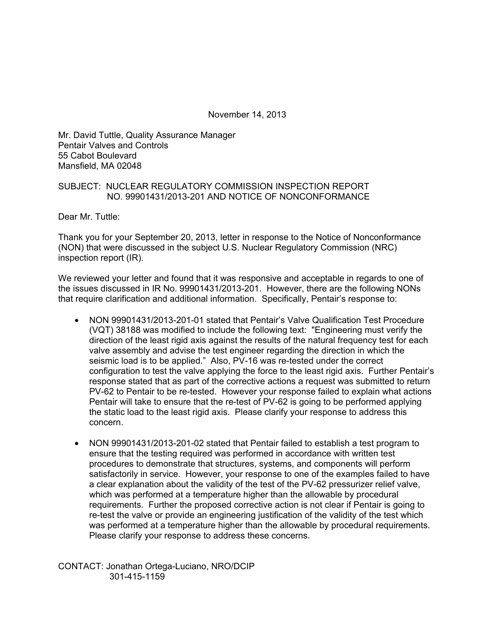November 14, 2013

Mr. David Tuttle, Quality Assurance Manager Pentair Valves and Controls 55 Cabot Boulevard Mansfield, MA 02048

## SUBJECT: NUCLEAR REGULATORY COMMISSION INSPECTION REPORT NO. 99901431/2013-201 AND NOTICE OF NONCONFORMANCE

Dear Mr. Tuttle:

Thank you for your September 20, 2013, letter in response to the Notice of Nonconformance (NON) that were discussed in the subject U.S. Nuclear Regulatory Commission (NRC) inspection report (IR).

We reviewed your letter and found that it was responsive and acceptable in regards to one of the issues discussed in IR No. 99901431/2013-201. However, there are the following NONs that require clarification and additional information. Specifically, Pentair's response to:

- NON 99901431/2013-201-01 stated that Pentair's Valve Qualification Test Procedure (VQT) 38188 was modified to include the following text: "Engineering must verify the direction of the least rigid axis against the results of the natural frequency test for each valve assembly and advise the test engineer regarding the direction in which the seismic load is to be applied." Also, PV-16 was re-tested under the correct configuration to test the valve applying the force to the least rigid axis. Further Pentair's response stated that as part of the corrective actions a request was submitted to return PV-62 to Pentair to be re-tested. However your response failed to explain what actions Pentair will take to ensure that the re-test of PV-62 is going to be performed applying the static load to the least rigid axis. Please clarify your response to address this concern.
- NON 99901431/2013-201-02 stated that Pentair failed to establish a test program to ensure that the testing required was performed in accordance with written test procedures to demonstrate that structures, systems, and components will perform satisfactorily in service. However, your response to one of the examples failed to have a clear explanation about the validity of the test of the PV-62 pressurizer relief valve, which was performed at a temperature higher than the allowable by procedural requirements. Further the proposed corrective action is not clear if Pentair is going to re-test the valve or provide an engineering justification of the validity of the test which was performed at a temperature higher than the allowable by procedural requirements. Please clarify your response to address these concerns.

CONTACT: Jonathan Ortega-Luciano, NRO/DCIP 301-415-1159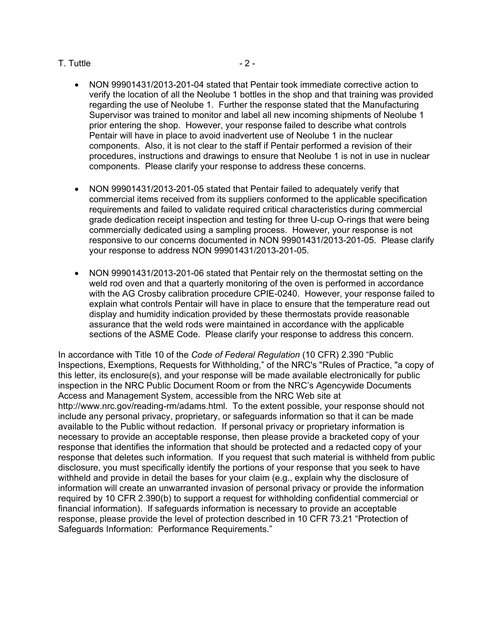## $T.$  Tuttle  $-2-$

- NON 99901431/2013-201-04 stated that Pentair took immediate corrective action to verify the location of all the Neolube 1 bottles in the shop and that training was provided regarding the use of Neolube 1. Further the response stated that the Manufacturing Supervisor was trained to monitor and label all new incoming shipments of Neolube 1 prior entering the shop. However, your response failed to describe what controls Pentair will have in place to avoid inadvertent use of Neolube 1 in the nuclear components. Also, it is not clear to the staff if Pentair performed a revision of their procedures, instructions and drawings to ensure that Neolube 1 is not in use in nuclear components. Please clarify your response to address these concerns.
- NON 99901431/2013-201-05 stated that Pentair failed to adequately verify that commercial items received from its suppliers conformed to the applicable specification requirements and failed to validate required critical characteristics during commercial grade dedication receipt inspection and testing for three U-cup O-rings that were being commercially dedicated using a sampling process. However, your response is not responsive to our concerns documented in NON 99901431/2013-201-05. Please clarify your response to address NON 99901431/2013-201-05.
- NON 99901431/2013-201-06 stated that Pentair rely on the thermostat setting on the weld rod oven and that a quarterly monitoring of the oven is performed in accordance with the AG Crosby calibration procedure CPIE-0240. However, your response failed to explain what controls Pentair will have in place to ensure that the temperature read out display and humidity indication provided by these thermostats provide reasonable assurance that the weld rods were maintained in accordance with the applicable sections of the ASME Code. Please clarify your response to address this concern.

In accordance with Title 10 of the *Code of Federal Regulation* (10 CFR) 2.390 "Public Inspections, Exemptions, Requests for Withholding," of the NRC's "Rules of Practice, "a copy of this letter, its enclosure(s), and your response will be made available electronically for public inspection in the NRC Public Document Room or from the NRC's Agencywide Documents Access and Management System, accessible from the NRC Web site at http://www.nrc.gov/reading-rm/adams.html. To the extent possible, your response should not include any personal privacy, proprietary, or safeguards information so that it can be made available to the Public without redaction. If personal privacy or proprietary information is necessary to provide an acceptable response, then please provide a bracketed copy of your response that identifies the information that should be protected and a redacted copy of your response that deletes such information. If you request that such material is withheld from public disclosure, you must specifically identify the portions of your response that you seek to have withheld and provide in detail the bases for your claim (e.g., explain why the disclosure of information will create an unwarranted invasion of personal privacy or provide the information required by 10 CFR 2.390(b) to support a request for withholding confidential commercial or financial information). If safeguards information is necessary to provide an acceptable response, please provide the level of protection described in 10 CFR 73.21 "Protection of Safeguards Information: Performance Requirements."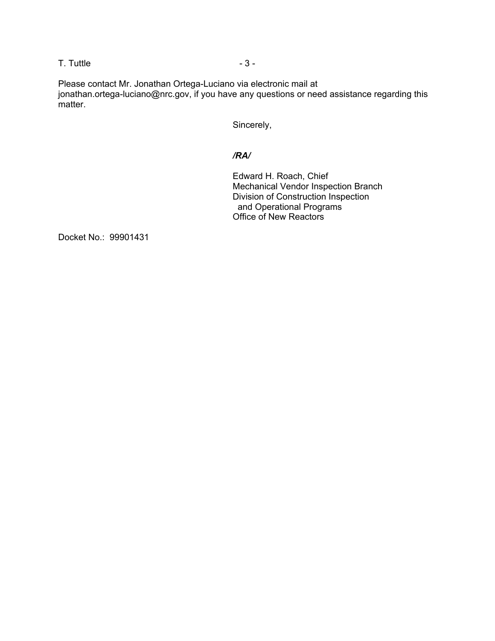$\overline{a}$ . Tuttle  $\overline{a}$  - 3 -

Please contact Mr. Jonathan Ortega-Luciano via electronic mail at jonathan.ortega-luciano@nrc.gov, if you have any questions or need assistance regarding this matter.

Sincerely,

## */RA/*

Edward H. Roach, Chief Mechanical Vendor Inspection Branch Division of Construction Inspection and Operational Programs Office of New Reactors

Docket No.: 99901431